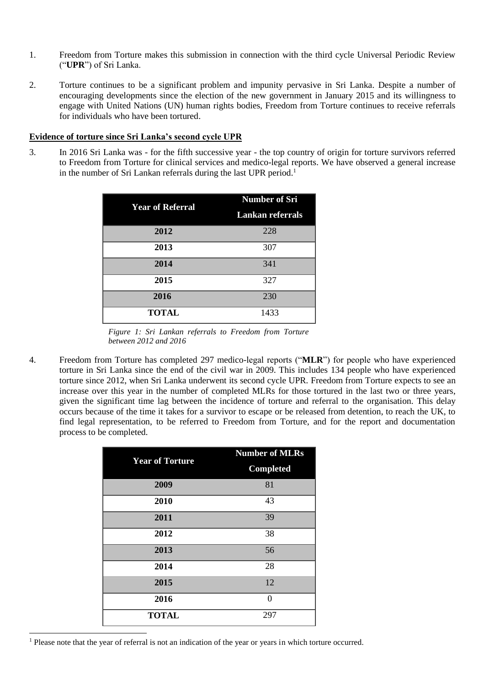- 1. Freedom from Torture makes this submission in connection with the third cycle Universal Periodic Review ("**UPR**") of Sri Lanka.
- 2. Torture continues to be a significant problem and impunity pervasive in Sri Lanka. Despite a number of encouraging developments since the election of the new government in January 2015 and its willingness to engage with United Nations (UN) human rights bodies, Freedom from Torture continues to receive referrals for individuals who have been tortured.

#### **Evidence of torture since Sri Lanka's second cycle UPR**

3. In 2016 Sri Lanka was - for the fifth successive year - the top country of origin for torture survivors referred to Freedom from Torture for clinical services and medico-legal reports. We have observed a general increase in the number of Sri Lankan referrals during the last UPR period.<sup>1</sup>

| <b>Year of Referral</b> | <b>Number of Sri</b>    |
|-------------------------|-------------------------|
|                         | <b>Lankan referrals</b> |
| 2012                    | 228                     |
| 2013                    | 307                     |
| 2014                    | 341                     |
| 2015                    | 327                     |
| 2016                    | 230                     |
| <b>TOTAL</b>            | 1433                    |

*Figure 1: Sri Lankan referrals to Freedom from Torture between 2012 and 2016*

4. Freedom from Torture has completed 297 medico-legal reports ("**MLR**") for people who have experienced torture in Sri Lanka since the end of the civil war in 2009. This includes 134 people who have experienced torture since 2012, when Sri Lanka underwent its second cycle UPR. Freedom from Torture expects to see an increase over this year in the number of completed MLRs for those tortured in the last two or three years, given the significant time lag between the incidence of torture and referral to the organisation. This delay occurs because of the time it takes for a survivor to escape or be released from detention, to reach the UK, to find legal representation, to be referred to Freedom from Torture, and for the report and documentation process to be completed.

| <b>Year of Torture</b> | <b>Number of MLRs</b> |
|------------------------|-----------------------|
|                        | <b>Completed</b>      |
| 2009                   | 81                    |
| 2010                   | 43                    |
| 2011                   | 39                    |
| 2012                   | 38                    |
| 2013                   | 56                    |
| 2014                   | 28                    |
| 2015                   | 12                    |
| 2016                   | $\theta$              |
| <b>TOTAL</b>           | 297                   |

<sup>1</sup> Please note that the year of referral is not an indication of the year or years in which torture occurred.

1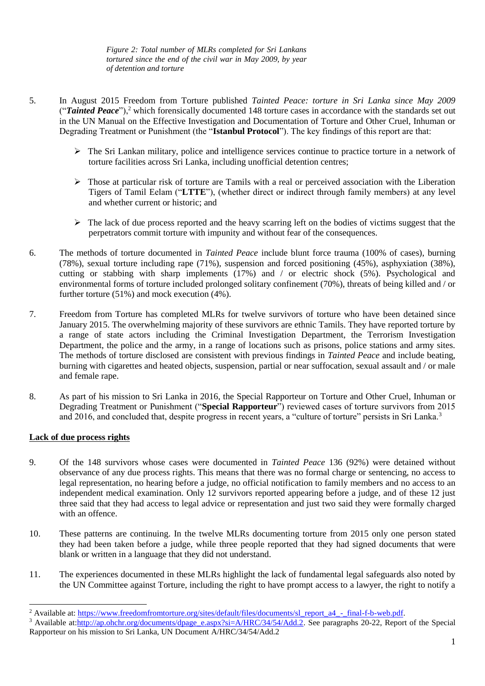*Figure 2: Total number of MLRs completed for Sri Lankans tortured since the end of the civil war in May 2009, by year of detention and torture*

- 5. In August 2015 Freedom from Torture published *Tainted Peace: torture in Sri Lanka since May 2009* ("**Tainted Peace**"),<sup>2</sup> which forensically documented 148 torture cases in accordance with the standards set out in the UN Manual on the Effective Investigation and Documentation of Torture and Other Cruel, Inhuman or Degrading Treatment or Punishment (the "**Istanbul Protocol**"). The key findings of this report are that:
	- The Sri Lankan military, police and intelligence services continue to practice torture in a network of torture facilities across Sri Lanka, including unofficial detention centres;
	- $\triangleright$  Those at particular risk of torture are Tamils with a real or perceived association with the Liberation Tigers of Tamil Eelam ("**LTTE**"), (whether direct or indirect through family members) at any level and whether current or historic; and
	- $\triangleright$  The lack of due process reported and the heavy scarring left on the bodies of victims suggest that the perpetrators commit torture with impunity and without fear of the consequences.
- 6. The methods of torture documented in *Tainted Peace* include blunt force trauma (100% of cases), burning (78%), sexual torture including rape (71%), suspension and forced positioning (45%), asphyxiation (38%), cutting or stabbing with sharp implements (17%) and / or electric shock (5%). Psychological and environmental forms of torture included prolonged solitary confinement (70%), threats of being killed and / or further torture (51%) and mock execution (4%).
- 7. Freedom from Torture has completed MLRs for twelve survivors of torture who have been detained since January 2015. The overwhelming majority of these survivors are ethnic Tamils. They have reported torture by a range of state actors including the Criminal Investigation Department, the Terrorism Investigation Department, the police and the army, in a range of locations such as prisons, police stations and army sites. The methods of torture disclosed are consistent with previous findings in *Tainted Peace* and include beating, burning with cigarettes and heated objects, suspension, partial or near suffocation, sexual assault and / or male and female rape.
- 8. As part of his mission to Sri Lanka in 2016, the Special Rapporteur on Torture and Other Cruel, Inhuman or Degrading Treatment or Punishment ("**Special Rapporteur**") reviewed cases of torture survivors from 2015 and 2016, and concluded that, despite progress in recent years, a "culture of torture" persists in Sri Lanka.<sup>3</sup>

# **Lack of due process rights**

1

- 9. Of the 148 survivors whose cases were documented in *Tainted Peace* 136 (92%) were detained without observance of any due process rights. This means that there was no formal charge or sentencing, no access to legal representation, no hearing before a judge, no official notification to family members and no access to an independent medical examination. Only 12 survivors reported appearing before a judge, and of these 12 just three said that they had access to legal advice or representation and just two said they were formally charged with an offence.
- 10. These patterns are continuing. In the twelve MLRs documenting torture from 2015 only one person stated they had been taken before a judge, while three people reported that they had signed documents that were blank or written in a language that they did not understand.
- 11. The experiences documented in these MLRs highlight the lack of fundamental legal safeguards also noted by the UN Committee against Torture, including the right to have prompt access to a lawyer, the right to notify a

<sup>&</sup>lt;sup>2</sup> Available at: [https://www.freedomfromtorture.org/sites/default/files/documents/sl\\_report\\_a4\\_-\\_final-f-b-web.pdf.](https://www.freedomfromtorture.org/sites/default/files/documents/sl_report_a4_-_final-f-b-web.pdf)

<sup>&</sup>lt;sup>3</sup> Available at[:http://ap.ohchr.org/documents/dpage\\_e.aspx?si=A/HRC/34/54/Add.2.](http://ap.ohchr.org/documents/dpage_e.aspx?si=A/HRC/34/54/Add.2) See paragraphs 20-22, Report of the Special Rapporteur on his mission to Sri Lanka, UN Document A/HRC/34/54/Add.2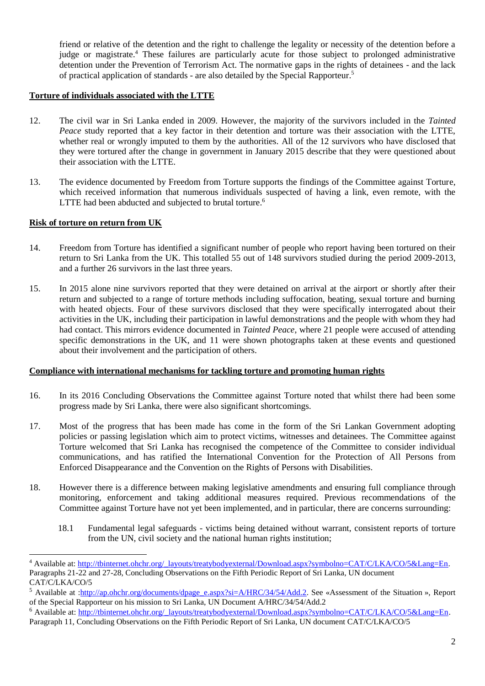friend or relative of the detention and the right to challenge the legality or necessity of the detention before a judge or magistrate.<sup>4</sup> These failures are particularly acute for those subject to prolonged administrative detention under the Prevention of Terrorism Act. The normative gaps in the rights of detainees - and the lack of practical application of standards - are also detailed by the Special Rapporteur. 5

# **Torture of individuals associated with the LTTE**

- 12. The civil war in Sri Lanka ended in 2009. However, the majority of the survivors included in the *Tainted Peace* study reported that a key factor in their detention and torture was their association with the LTTE, whether real or wrongly imputed to them by the authorities. All of the 12 survivors who have disclosed that they were tortured after the change in government in January 2015 describe that they were questioned about their association with the LTTE.
- 13. The evidence documented by Freedom from Torture supports the findings of the Committee against Torture, which received information that numerous individuals suspected of having a link, even remote, with the LTTE had been abducted and subjected to brutal torture.<sup>6</sup>

## **Risk of torture on return from UK**

-

- 14. Freedom from Torture has identified a significant number of people who report having been tortured on their return to Sri Lanka from the UK. This totalled 55 out of 148 survivors studied during the period 2009-2013, and a further 26 survivors in the last three years.
- 15. In 2015 alone nine survivors reported that they were detained on arrival at the airport or shortly after their return and subjected to a range of torture methods including suffocation, beating, sexual torture and burning with heated objects. Four of these survivors disclosed that they were specifically interrogated about their activities in the UK, including their participation in lawful demonstrations and the people with whom they had had contact. This mirrors evidence documented in *Tainted Peace*, where 21 people were accused of attending specific demonstrations in the UK, and 11 were shown photographs taken at these events and questioned about their involvement and the participation of others.

### **Compliance with international mechanisms for tackling torture and promoting human rights**

- 16. In its 2016 Concluding Observations the Committee against Torture noted that whilst there had been some progress made by Sri Lanka, there were also significant shortcomings.
- 17. Most of the progress that has been made has come in the form of the Sri Lankan Government adopting policies or passing legislation which aim to protect victims, witnesses and detainees. The Committee against Torture welcomed that Sri Lanka has recognised the competence of the Committee to consider individual communications, and has ratified the International Convention for the Protection of All Persons from Enforced Disappearance and the Convention on the Rights of Persons with Disabilities.
- 18. However there is a difference between making legislative amendments and ensuring full compliance through monitoring, enforcement and taking additional measures required. Previous recommendations of the Committee against Torture have not yet been implemented, and in particular, there are concerns surrounding:
	- 18.1 Fundamental legal safeguards victims being detained without warrant, consistent reports of torture from the UN, civil society and the national human rights institution;

<sup>4</sup> Available at: [http://tbinternet.ohchr.org/\\_layouts/treatybodyexternal/Download.aspx?symbolno=CAT/C/LKA/CO/5&Lang=En.](http://tbinternet.ohchr.org/_layouts/treatybodyexternal/Download.aspx?symbolno=CAT/C/LKA/CO/5&Lang=En)  Paragraphs 21-22 and 27-28, Concluding Observations on the Fifth Periodic Report of Sri Lanka, UN document CAT/C/LKA/CO/5

<sup>5</sup> Available at [:http://ap.ohchr.org/documents/dpage\\_e.aspx?si=A/HRC/34/54/Add.2.](http://ap.ohchr.org/documents/dpage_e.aspx?si=A/HRC/34/54/Add.2) See «Assessment of the Situation », Report of the Special Rapporteur on his mission to Sri Lanka, UN Document A/HRC/34/54/Add.2

<sup>6</sup> Available at: [http://tbinternet.ohchr.org/\\_layouts/treatybodyexternal/Download.aspx?symbolno=CAT/C/LKA/CO/5&Lang=En.](http://tbinternet.ohchr.org/_layouts/treatybodyexternal/Download.aspx?symbolno=CAT/C/LKA/CO/5&Lang=En)

Paragraph 11, Concluding Observations on the Fifth Periodic Report of Sri Lanka, UN document CAT/C/LKA/CO/5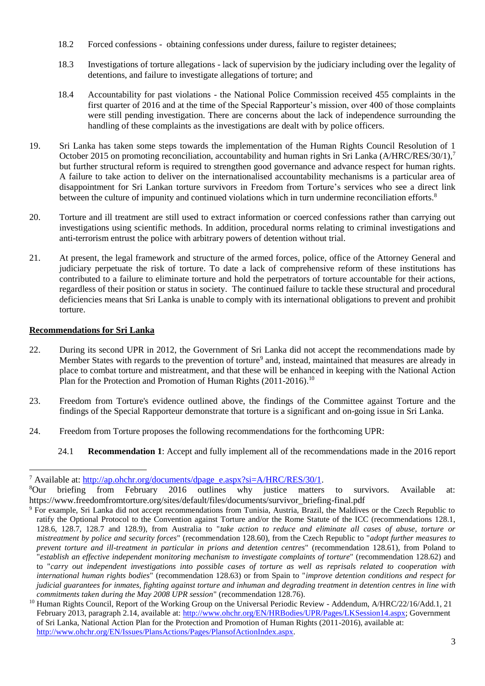- 18.2 Forced confessions obtaining confessions under duress, failure to register detainees;
- 18.3 Investigations of torture allegations lack of supervision by the judiciary including over the legality of detentions, and failure to investigate allegations of torture; and
- 18.4 Accountability for past violations the National Police Commission received 455 complaints in the first quarter of 2016 and at the time of the Special Rapporteur's mission, over 400 of those complaints were still pending investigation. There are concerns about the lack of independence surrounding the handling of these complaints as the investigations are dealt with by police officers.
- 19. Sri Lanka has taken some steps towards the implementation of the Human Rights Council Resolution of 1 October 2015 on promoting reconciliation, accountability and human rights in Sri Lanka (A/HRC/RES/30/1),<sup>7</sup> but further structural reform is required to strengthen good governance and advance respect for human rights. A failure to take action to deliver on the internationalised accountability mechanisms is a particular area of disappointment for Sri Lankan torture survivors in Freedom from Torture's services who see a direct link between the culture of impunity and continued violations which in turn undermine reconciliation efforts.<sup>8</sup>
- 20. Torture and ill treatment are still used to extract information or coerced confessions rather than carrying out investigations using scientific methods. In addition, procedural norms relating to criminal investigations and anti-terrorism entrust the police with arbitrary powers of detention without trial.
- 21. At present, the legal framework and structure of the armed forces, police, office of the Attorney General and judiciary perpetuate the risk of torture. To date a lack of comprehensive reform of these institutions has contributed to a failure to eliminate torture and hold the perpetrators of torture accountable for their actions, regardless of their position or status in society. The continued failure to tackle these structural and procedural deficiencies means that Sri Lanka is unable to comply with its international obligations to prevent and prohibit torture.

# **Recommendations for Sri Lanka**

1

- 22. During its second UPR in 2012, the Government of Sri Lanka did not accept the recommendations made by Member States with regards to the prevention of torture<sup>9</sup> and, instead, maintained that measures are already in place to combat torture and mistreatment, and that these will be enhanced in keeping with the National Action Plan for the Protection and Promotion of Human Rights (2011-2016).<sup>10</sup>
- 23. Freedom from Torture's evidence outlined above, the findings of the Committee against Torture and the findings of the Special Rapporteur demonstrate that torture is a significant and on-going issue in Sri Lanka.
- 24. Freedom from Torture proposes the following recommendations for the forthcoming UPR:
	- 24.1 **Recommendation 1**: Accept and fully implement all of the recommendations made in the 2016 report

<sup>&</sup>lt;sup>7</sup> Available at: [http://ap.ohchr.org/documents/dpage\\_e.aspx?si=A/HRC/RES/30/1.](http://ap.ohchr.org/documents/dpage_e.aspx?si=A/HRC/RES/30/1)

<sup>8</sup>Our briefing from February 2016 outlines why justice matters to survivors. Available at: https://www.freedomfromtorture.org/sites/default/files/documents/survivor\_briefing-final.pdf

<sup>9</sup> For example, Sri Lanka did not accept recommendations from Tunisia, Austria, Brazil, the Maldives or the Czech Republic to ratify the Optional Protocol to the Convention against Torture and/or the Rome Statute of the ICC (recommendations 128.1, 128.6, 128.7, 128.7 and 128.9), from Australia to "*take action to reduce and eliminate all cases of abuse, torture or mistreatment by police and security forces*" (recommendation 128.60), from the Czech Republic to "*adopt further measures to prevent torture and ill-treatment in particular in prions and detention centres*" (recommendation 128.61), from Poland to "*establish an effective independent monitoring mechanism to investigate complaints of torture*" (recommendation 128.62) and to "*carry out independent investigations into possible cases of torture as well as reprisals related to cooperation with international human rights bodies*" (recommendation 128.63) or from Spain to "*improve detention conditions and respect for judicial guarantees for inmates, fighting against torture and inhuman and degrading treatment in detention centres in line with commitments taken during the May 2008 UPR session*" (recommendation 128.76).

<sup>&</sup>lt;sup>10</sup> Human Rights Council, Report of the Working Group on the Universal Periodic Review - Addendum, A/HRC/22/16/Add.1, 21 February 2013, paragraph 2.14, available at: [http://www.ohchr.org/EN/HRBodies/UPR/Pages/LKSession14.aspx;](http://www.ohchr.org/EN/HRBodies/UPR/Pages/LKSession14.aspx) Government of Sri Lanka, National Action Plan for the Protection and Promotion of Human Rights (2011-2016), available at: [http://www.ohchr.org/EN/Issues/PlansActions/Pages/PlansofActionIndex.aspx.](http://www.ohchr.org/EN/Issues/PlansActions/Pages/PlansofActionIndex.aspx)